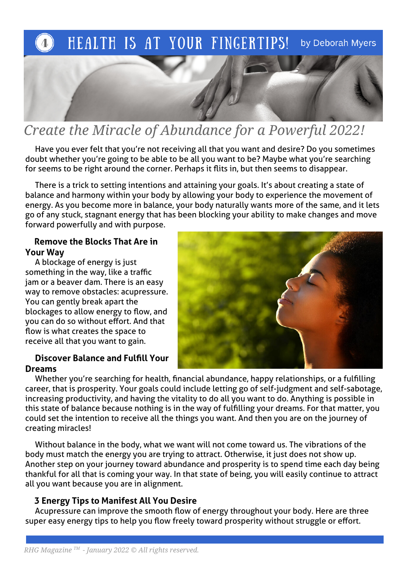

## Create the Miracle of Abundance for a Powerful 2022!

 Have you ever felt that you're not receiving all that you want and desire? Do you sometimes doubt whether you're going to be able to be all you want to be? Maybe what you're searching for seems to be right around the corner. Perhaps it fits in, but then seems to disappear.

 There is a trick to setting intentions and attaining your goals. It's about creating a state of balance and harmony within your body by allowing your body to experience the movement of energy. As you become more in balance, your body naturally wants more of the same, and it lets go of any stuck, stagnant energy that has been blocking your ability to make changes and move forward powerfully and with purpose.

### Remove the Blocks That Are in Your Way

 A blockage of energy is just something in the way, like a traffic jam or a beaver dam. There is an easy way to remove obstacles: acupressure. You can gently break apart the blockages to allow energy to flow, and you can do so without effort. And that flow is what creates the space to receive all that you want to gain.

## Discover Balance and Fulfll Your Dreams



 Whether you're searching for health, fnancial abundance, happy relationships, or a fulflling career, that is prosperity. Your goals could include letting go of self-judgment and self-sabotage, increasing productivity, and having the vitality to do all you want to do. Anything is possible in this state of balance because nothing is in the way of fulflling your dreams. For that matter, you could set the intention to receive all the things you want. And then you are on the journey of creating miracles!

 Without balance in the body, what we want will not come toward us. The vibrations of the body must match the energy you are trying to attract. Otherwise, it just does not show up. Another step on your journey toward abundance and prosperity is to spend time each day being thankful for all that is coming your way. In that state of being, you will easily continue to attract all you want because you are in alignment.

## 3 Energy Tips to Manifest All You Desire

Acupressure can improve the smooth flow of energy throughout your body. Here are three super easy energy tips to help you flow freely toward prosperity without struggle or effort.